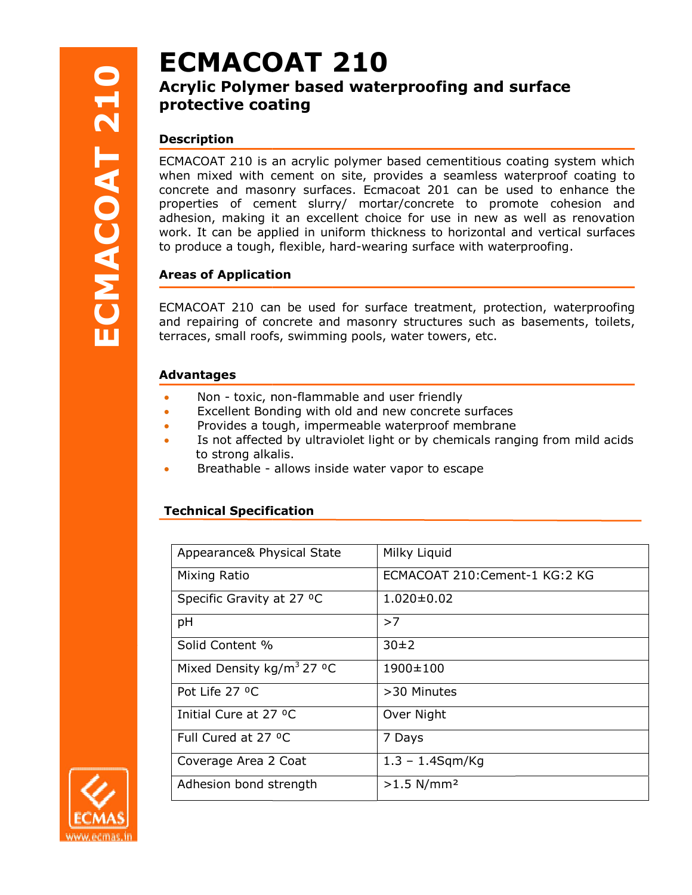# **ECMACOAT 210**

## Acrylic Polymer Polymer based waterproofing and surface protective coating and a community of the control of the control of the control of the control of the control o

## Description

**ECMACOAT 210**<br> **Acrylic Polymer based waterproofi**<br> **Poscription**<br> **ECMACOAT 210 is an acrylic polymer based cem**<br>
when mixed with cement on site, provides a some<br>
concrete and masonry surfaces. Ecmacat 2011<br>
properties o ECMACOAT 210 is an acrylic polymer based cementitious coating system which when mixed with cement on site, provides a seamless waterproof coating to concrete and masonry surfaces. Ecmacoat 201 can be used to enhance the properties of cement slurry/ mortar/concrete to promote cohesion and adhesion, making it an excellent choice for use in new as well as renovation work. It can be applied in uniform thickness to horizontal and vertical surfaces to produce a tough, flexible, hard-wearing surface with waterproofing. cement slurry/ mortar/concrete to promote cohesion and<br>ing it an excellent choice for use in new as well as renovation<br>e applied in uniform thickness to horizontal and vertical surfaces<br>ugh, flexible, hard-wearing surface

## Areas of Application **provides a set of Application**

ECMACOAT 210 can be used for surface treatment, protection, waterproofing and repairing of concrete and masonry structures such as basements, toilets,<br>terraces, small roofs, swimming pools, water towers, etc.<br>**Advantages** Non - toxic, non-flammable and user friendly terraces, small roofs, swimming pools, water towers, etc.

## Advantages

- Non toxic, non-flammable and user friendly
- Excellent Bonding Bonding with old and new concrete surfaces
- Provides a tough, impermeable waterproof membrane
- Is not affected by ultraviolet light or by chemicals ranging from mild acids to strong alkalis. to strong alkalis.<br>• Breathable - allows inside water vapor to escape
- 

## Technical Specification

| Appearance& Physical State                        | Milky Liquid                  |
|---------------------------------------------------|-------------------------------|
| Mixing Ratio                                      | ECMACOAT 210:Cement-1 KG:2 KG |
| Specific Gravity at 27 °C                         | $1.020 \pm 0.02$              |
| pH                                                | >7                            |
| Solid Content %                                   | 30±2                          |
| Mixed Density kg/m <sup>3</sup> 27 <sup>o</sup> C | 1900±100                      |
| Pot Life 27 °C                                    | >30 Minutes                   |
| Initial Cure at 27 °C                             | Over Night                    |
| Full Cured at 27 °C                               | 7 Days                        |
| Coverage Area 2 Coat                              | $1.3 - 1.4$ Sqm/Kg            |
| Adhesion bond strength                            | $>1.5$ N/mm <sup>2</sup>      |
|                                                   |                               |